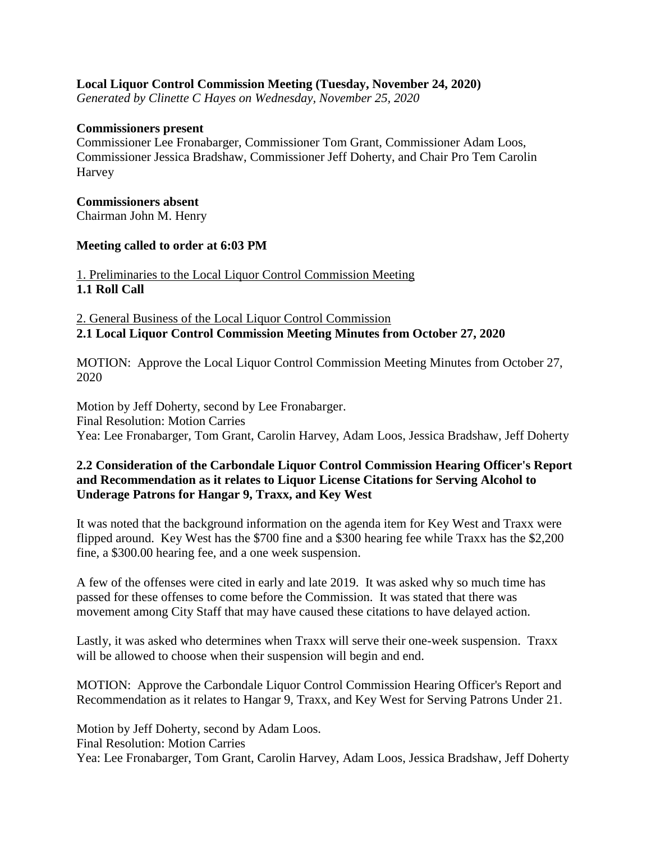## **Local Liquor Control Commission Meeting (Tuesday, November 24, 2020)**

*Generated by Clinette C Hayes on Wednesday, November 25, 2020*

#### **Commissioners present**

Commissioner Lee Fronabarger, Commissioner Tom Grant, Commissioner Adam Loos, Commissioner Jessica Bradshaw, Commissioner Jeff Doherty, and Chair Pro Tem Carolin Harvey

#### **Commissioners absent**

Chairman John M. Henry

### **Meeting called to order at 6:03 PM**

1. Preliminaries to the Local Liquor Control Commission Meeting **1.1 Roll Call**

2. General Business of the Local Liquor Control Commission **2.1 Local Liquor Control Commission Meeting Minutes from October 27, 2020**

MOTION: Approve the Local Liquor Control Commission Meeting Minutes from October 27, 2020

Motion by Jeff Doherty, second by Lee Fronabarger. Final Resolution: Motion Carries Yea: Lee Fronabarger, Tom Grant, Carolin Harvey, Adam Loos, Jessica Bradshaw, Jeff Doherty

### **2.2 Consideration of the Carbondale Liquor Control Commission Hearing Officer's Report and Recommendation as it relates to Liquor License Citations for Serving Alcohol to Underage Patrons for Hangar 9, Traxx, and Key West**

It was noted that the background information on the agenda item for Key West and Traxx were flipped around. Key West has the \$700 fine and a \$300 hearing fee while Traxx has the \$2,200 fine, a \$300.00 hearing fee, and a one week suspension.

A few of the offenses were cited in early and late 2019. It was asked why so much time has passed for these offenses to come before the Commission. It was stated that there was movement among City Staff that may have caused these citations to have delayed action.

Lastly, it was asked who determines when Traxx will serve their one-week suspension. Traxx will be allowed to choose when their suspension will begin and end.

MOTION: Approve the Carbondale Liquor Control Commission Hearing Officer's Report and Recommendation as it relates to Hangar 9, Traxx, and Key West for Serving Patrons Under 21.

Motion by Jeff Doherty, second by Adam Loos.

Final Resolution: Motion Carries

Yea: Lee Fronabarger, Tom Grant, Carolin Harvey, Adam Loos, Jessica Bradshaw, Jeff Doherty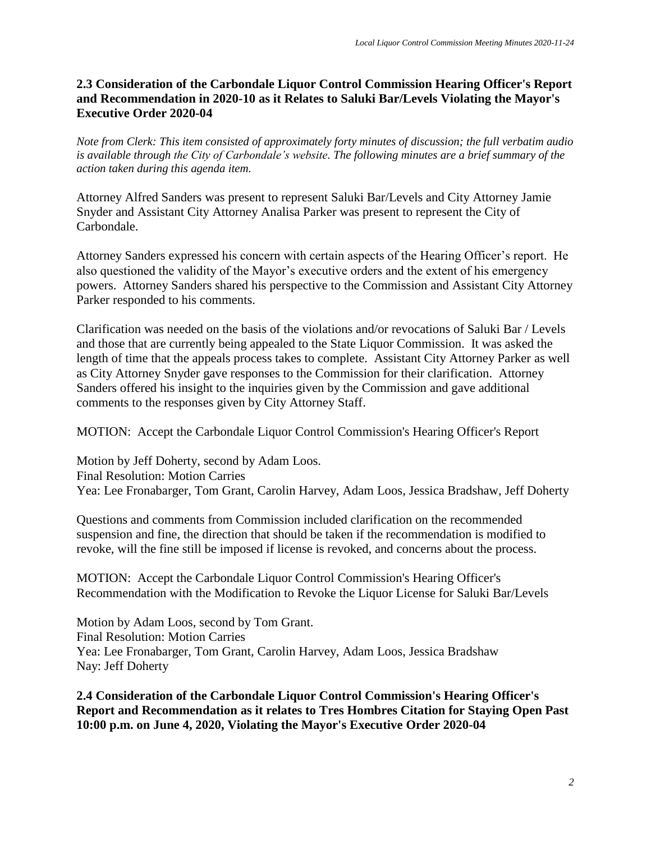# **2.3 Consideration of the Carbondale Liquor Control Commission Hearing Officer's Report and Recommendation in 2020-10 as it Relates to Saluki Bar/Levels Violating the Mayor's Executive Order 2020-04**

*Note from Clerk: This item consisted of approximately forty minutes of discussion; the full verbatim audio is available through the City of Carbondale's website. The following minutes are a brief summary of the action taken during this agenda item.*

Attorney Alfred Sanders was present to represent Saluki Bar/Levels and City Attorney Jamie Snyder and Assistant City Attorney Analisa Parker was present to represent the City of Carbondale.

Attorney Sanders expressed his concern with certain aspects of the Hearing Officer's report. He also questioned the validity of the Mayor's executive orders and the extent of his emergency powers. Attorney Sanders shared his perspective to the Commission and Assistant City Attorney Parker responded to his comments.

Clarification was needed on the basis of the violations and/or revocations of Saluki Bar / Levels and those that are currently being appealed to the State Liquor Commission. It was asked the length of time that the appeals process takes to complete. Assistant City Attorney Parker as well as City Attorney Snyder gave responses to the Commission for their clarification. Attorney Sanders offered his insight to the inquiries given by the Commission and gave additional comments to the responses given by City Attorney Staff.

MOTION: Accept the Carbondale Liquor Control Commission's Hearing Officer's Report

Motion by Jeff Doherty, second by Adam Loos. Final Resolution: Motion Carries Yea: Lee Fronabarger, Tom Grant, Carolin Harvey, Adam Loos, Jessica Bradshaw, Jeff Doherty

Questions and comments from Commission included clarification on the recommended suspension and fine, the direction that should be taken if the recommendation is modified to revoke, will the fine still be imposed if license is revoked, and concerns about the process.

MOTION: Accept the Carbondale Liquor Control Commission's Hearing Officer's Recommendation with the Modification to Revoke the Liquor License for Saluki Bar/Levels

Motion by Adam Loos, second by Tom Grant. Final Resolution: Motion Carries Yea: Lee Fronabarger, Tom Grant, Carolin Harvey, Adam Loos, Jessica Bradshaw Nay: Jeff Doherty

**2.4 Consideration of the Carbondale Liquor Control Commission's Hearing Officer's Report and Recommendation as it relates to Tres Hombres Citation for Staying Open Past 10:00 p.m. on June 4, 2020, Violating the Mayor's Executive Order 2020-04**